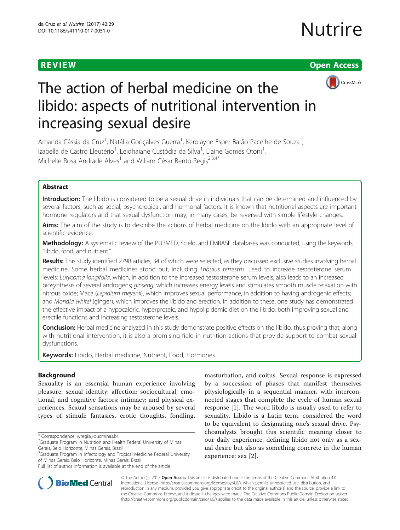# Nutrire

**REVIEW ACCESS AND LOCAL CONTRACT CONTRACT OF ACCESS** 



## The action of herbal medicine on the libido: aspects of nutritional intervention in increasing sexual desire

Amanda Cássia da Cruz<sup>1</sup>, Natália Gonçalves Guerra<sup>1</sup>, Kerolayne Esper Barão Pacelhe de Souza<sup>1</sup> , Izabella de Castro Eleutério<sup>1</sup>, Leidhaiane Custódia da Silva<sup>1</sup>, Elaine Gomes Otoni<sup>1</sup> , Michelle Rosa Andrade Alves<sup>1</sup> and Wiliam César Bento Regis<sup>2,3,4\*</sup>

### Abstract

Introduction: The libido is considered to be a sexual drive in individuals that can be determined and influenced by several factors, such as social, psychological, and hormonal factors. It is known that nutritional aspects are important hormone regulators and that sexual dysfunction may, in many cases, be reversed with simple lifestyle changes.

Aims: The aim of the study is to describe the actions of herbal medicine on the libido with an appropriate level of scientific evidence.

Methodology: A systematic review of the PUBMED, Scielo, and EMBASE databases was conducted, using the keywords "libido, food, and nutrient."

Results: This study identified 2798 articles, 34 of which were selected, as they discussed exclusive studies involving herbal medicine. Some herbal medicines stood out, including Tribulus terrestris, used to increase testosterone serum levels; Eurycoma longifólia, which, in addition to the increased testosterone serum levels, also leads to an increased biosynthesis of several androgens; ginseng, which increases energy levels and stimulates smooth muscle relaxation with nitrous oxide; Maca (Lepidium meyenii), which improves sexual performance, in addition to having androgenic effects; and Mondia whitei (ginger), which improves the libido and erection. In addition to these, one study has demonstrated the effective impact of a hypocaloric, hyperproteic, and hypolipidemic diet on the libido, both improving sexual and erectile functions and increasing testosterone levels.

Conclusion: Herbal medicine analyzed in this study demonstrate positive effects on the libido, thus proving that, along with nutritional intervention, it is also a promising field in nutrition actions that provide support to combat sexual dysfunctions.

Keywords: Libido, Herbal medicine, Nutrient, Food, Hormones

#### Background

Sexuality is an essential human experience involving pleasure; sexual identity; affection; sociocultural, emotional, and cognitive factors; intimacy; and physical experiences. Sexual sensations may be aroused by several types of stimuli: fantasies, erotic thoughts, fondling,

\* Correspondence: [wregis@pucminas.br](mailto:wregis@pucminas.br) <sup>2</sup>

<sup>3</sup>Graduate Program in Infectology and Tropical Medicine Federal University of Minas Gerais, Belo Horizonte, Minas Gerais, Brazil

masturbation, and coitus. Sexual response is expressed by a succession of phases that manifest themselves physiologically in a sequential manner, with interconnected stages that complete the cycle of human sexual response [[1\]](#page-6-0). The word libido is usually used to refer to sexuality. Libido is a Latin term, considered the word to be equivalent to designating one's sexual drive. Psychoanalysts brought this scientific meaning closer to our daily experience, defining libido not only as a sexual desire but also as something concrete in the human experience: sex [[2\]](#page-6-0).



© The Author(s). 2017 **Open Access** This article is distributed under the terms of the Creative Commons Attribution 4.0 International License [\(http://creativecommons.org/licenses/by/4.0/](http://creativecommons.org/licenses/by/4.0/)), which permits unrestricted use, distribution, and reproduction in any medium, provided you give appropriate credit to the original author(s) and the source, provide a link to the Creative Commons license, and indicate if changes were made. The Creative Commons Public Domain Dedication waiver [\(http://creativecommons.org/publicdomain/zero/1.0/](http://creativecommons.org/publicdomain/zero/1.0/)) applies to the data made available in this article, unless otherwise stated.

<sup>&</sup>lt;sup>2</sup>Graduate Program in Nutrition and Health Federal University of Minas Gerais, Belo Horizonte, Minas Gerais, Brazil

Full list of author information is available at the end of the article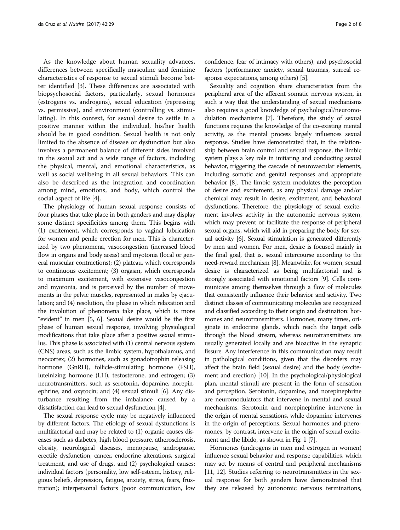As the knowledge about human sexuality advances, differences between specifically masculine and feminine characteristics of response to sexual stimuli become better identified [\[3](#page-6-0)]. These differences are associated with biopsychosocial factors, particularly, sexual hormones (estrogens vs. androgens), sexual education (repressing vs. permissive), and environment (controlling vs. stimulating). In this context, for sexual desire to settle in a positive manner within the individual, his/her health should be in good condition. Sexual health is not only limited to the absence of disease or dysfunction but also involves a permanent balance of different sides involved in the sexual act and a wide range of factors, including the physical, mental, and emotional characteristics, as well as social wellbeing in all sexual behaviors. This can also be described as the integration and coordination among mind, emotions, and body, which control the social aspect of life [\[4](#page-6-0)].

The physiology of human sexual response consists of four phases that take place in both genders and may display some distinct specificities among them. This begins with (1) excitement, which corresponds to vaginal lubrication for women and penile erection for men. This is characterized by two phenomena, vasocongestion (increased blood flow in organs and body areas) and myotonia (local or general muscular contractions); (2) plateau, which corresponds to continuous excitement; (3) orgasm, which corresponds to maximum excitement, with extensive vasocongestion and myotonia, and is perceived by the number of movements in the pelvic muscles, represented in males by ejaculation; and (4) resolution, the phase in which relaxation and the involution of phenomena take place, which is more "evident" in men [\[5](#page-6-0), [6](#page-6-0)]. Sexual desire would be the first phase of human sexual response, involving physiological modifications that take place after a positive sexual stimulus. This phase is associated with (1) central nervous system (CNS) areas, such as the limbic system, hypothalamus, and neocortex; (2) hormones, such as gonadotrophin releasing hormone (GnRH), follicle-stimulating hormone (FSH), luteinizing hormone (LH), testosterone, and estrogen; (3) neurotransmitters, such as serotonin, dopamine, norepinephrine, and oxytocin; and (4) sexual stimuli [[6](#page-6-0)]. Any disturbance resulting from the imbalance caused by a dissatisfaction can lead to sexual dysfunction [\[4](#page-6-0)].

The sexual response cycle may be negatively influenced by different factors. The etiology of sexual dysfunctions is multifactorial and may be related to (1) organic causes diseases such as diabetes, high blood pressure, atherosclerosis, obesity, neurological diseases, menopause, andropause, erectile dysfunction, cancer, endocrine alterations, surgical treatment, and use of drugs, and (2) psychological causes: individual factors (personality, low self-esteem, history, religious beliefs, depression, fatigue, anxiety, stress, fears, frustration); interpersonal factors (poor communication, low

confidence, fear of intimacy with others), and psychosocial factors (performance anxiety, sexual traumas, surreal response expectations, among others) [\[5\]](#page-6-0).

Sexuality and cognition share characteristics from the peripheral area of the afferent somatic nervous system, in such a way that the understanding of sexual mechanisms also requires a good knowledge of psychological/neuromodulation mechanisms [\[7](#page-6-0)]. Therefore, the study of sexual functions requires the knowledge of the co-existing mental activity, as the mental process largely influences sexual response. Studies have demonstrated that, in the relationship between brain control and sexual response, the limbic system plays a key role in initiating and conducting sexual behavior, triggering the cascade of neurovascular elements, including somatic and genital responses and appropriate behavior [\[8\]](#page-6-0). The limbic system modulates the perception of desire and excitement, as any physical damage and/or chemical may result in desire, excitement, and behavioral dysfunctions. Therefore, the physiology of sexual excitement involves activity in the autonomic nervous system, which may prevent or facilitate the response of peripheral sexual organs, which will aid in preparing the body for sexual activity [\[6\]](#page-6-0). Sexual stimulation is generated differently by men and women. For men, desire is focused mainly in the final goal, that is, sexual intercourse according to the need-reward mechanism [\[8\]](#page-6-0). Meanwhile, for women, sexual desire is characterized as being multifactorial and is strongly associated with emotional factors [\[9\]](#page-6-0). Cells communicate among themselves through a flow of molecules that consistently influence their behavior and activity. Two distinct classes of communicating molecules are recognized and classified according to their origin and destination: hormones and neurotransmitters. Hormones, many times, originate in endocrine glands, which reach the target cells through the blood stream, whereas neurotransmitters are usually generated locally and are bioactive in the synaptic fissure. Any interference in this communication may result in pathological conditions, given that the disorders may affect the brain field (sexual desire) and the body (excitement and erection) [\[10\]](#page-7-0). In the psychological/physiological plan, mental stimuli are present in the form of sensation and perception. Serotonin, dopamine, and norepinephrine are neuromodulators that intervene in mental and sexual mechanisms. Serotonin and norepinephrine intervene in the origin of mental sensations, while dopamine intervenes in the origin of perceptions. Sexual hormones and pheromones, by contrast, intervene in the origin of sexual excitement and the libido, as shown in Fig. [1](#page-2-0) [\[7\]](#page-6-0).

Hormones (androgens in men and estrogen in women) influence sexual behavior and response capabilities, which may act by means of central and peripheral mechanisms [[11](#page-7-0), [12](#page-7-0)]. Studies referring to neurotransmitters in the sexual response for both genders have demonstrated that they are released by autonomic nervous terminations,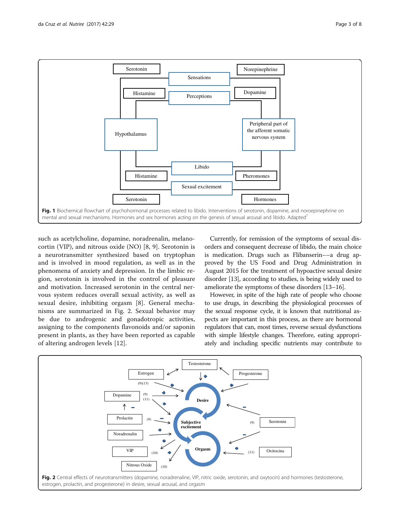

<span id="page-2-0"></span>

such as acetylcholine, dopamine, noradrenalin, melanocortin (VIP), and nitrous oxide (NO) [[8, 9](#page-6-0)]. Serotonin is a neurotransmitter synthesized based on tryptophan and is involved in mood regulation, as well as in the phenomena of anxiety and depression. In the limbic region, serotonin is involved in the control of pleasure and motivation. Increased serotonin in the central nervous system reduces overall sexual activity, as well as sexual desire, inhibiting orgasm [\[8](#page-6-0)]. General mechanisms are summarized in Fig. 2. Sexual behavior may be due to androgenic and gonadotropic activities, assigning to the components flavonoids and/or saponin present in plants, as they have been reported as capable of altering androgen levels [\[12](#page-7-0)].

Currently, for remission of the symptoms of sexual disorders and consequent decrease of libido, the main choice is medication. Drugs such as Flibanserin––a drug approved by the US Food and Drug Administration in August 2015 for the treatment of hypoactive sexual desire disorder [[13](#page-7-0)], according to studies, is being widely used to ameliorate the symptoms of these disorders [\[13](#page-7-0)–[16](#page-7-0)].

However, in spite of the high rate of people who choose to use drugs, in describing the physiological processes of the sexual response cycle, it is known that nutritional aspects are important in this process, as there are hormonal regulators that can, most times, reverse sexual dysfunctions with simple lifestyle changes. Therefore, eating appropriately and including specific nutrients may contribute to

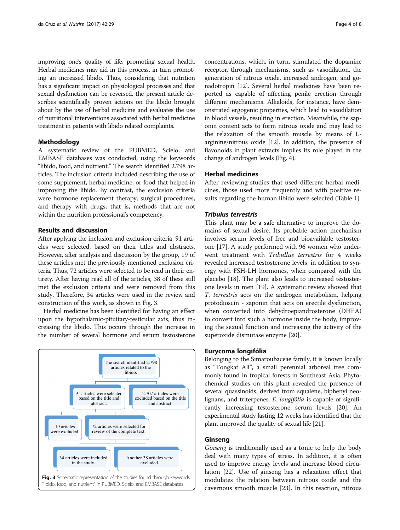improving one's quality of life, promoting sexual health. Herbal medicines may aid in this process, in turn promoting an increased libido. Thus, considering that nutrition has a significant impact on physiological processes and that sexual dysfunction can be reversed, the present article describes scientifically proven actions on the libido brought about by the use of herbal medicine and evaluates the use of nutritional interventions associated with herbal medicine treatment in patients with libido related complaints.

#### Methodology

A systematic review of the PUBMED, Scielo, and EMBASE databases was conducted, using the keywords "libido, food, and nutrient." The search identified 2.798 articles. The inclusion criteria included describing the use of some supplement, herbal medicine, or food that helped in improving the libido. By contrast, the exclusion criteria were hormone replacement therapy, surgical procedures, and therapy with drugs, that is, methods that are not within the nutrition professional's competency.

#### Results and discussion

After applying the inclusion and exclusion criteria, 91 articles were selected, based on their titles and abstracts. However, after analysis and discussion by the group, 19 of these articles met the previously mentioned exclusion criteria. Thus, 72 articles were selected to be read in their entirety. After having read all of the articles, 38 of these still met the exclusion criteria and were removed from this study. Therefore, 34 articles were used in the review and construction of this work, as shown in Fig. 3.

Herbal medicine has been identified for having an effect upon the hypothalamic-pituitary-testicular axis, thus increasing the libido. This occurs through the increase in the number of several hormone and serum testosterone



concentrations, which, in turn, stimulated the dopamine receptor, through mechanisms, such as vasodilation, the generation of nitrous oxide, increased androgen, and gonadotropin [\[12](#page-7-0)]. Several herbal medicines have been reported as capable of affecting penile erection through different mechanisms. Alkaloids, for instance, have demonstrated ergogenic properties, which lead to vasodilation in blood vessels, resulting in erection. Meanwhile, the saponin content acts to form nitrous oxide and may lead to the relaxation of the smooth muscle by means of Larginine/nitrous oxide [[12](#page-7-0)]. In addition, the presence of flavonoids in plant extracts implies its role played in the change of androgen levels (Fig. [4](#page-4-0)).

#### Herbal medicines

After reviewing studies that used different herbal medicines, those used more frequently and with positive results regarding the human libido were selected (Table [1](#page-5-0)).

#### Tribulus terrestris

This plant may be a safe alternative to improve the domains of sexual desire. Its probable action mechanism involves serum levels of free and bioavailable testosterone [[17\]](#page-7-0). A study performed with 96 women who underwent treatment with Tribullus terrestris for 4 weeks revealed increased testosterone levels, in addition to synergy with FSH-LH hormones, when compared with the placebo [\[18](#page-7-0)]. The plant also leads to increased testosterone levels in men [\[19](#page-7-0)]. A systematic review showed that T. terrestris acts on the androgen metabolism, helping protodioscin - saponin that acts on erectile dysfunction, when converted into dehydroepiandrosterone (DHEA) to convert into such a hormone inside the body, improving the sexual function and increasing the activity of the superoxide dismutase enzyme [\[20\]](#page-7-0).

#### Eurycoma longifólia

Belonging to the Simaroubaceae family, it is known locally as "Tongkat Ali", a small perennial arboreal tree commonly found in tropical forests in Southeast Asia. Phytochemical studies on this plant revealed the presence of several quassinoids, derived from squalene, biphenyl neolignans, and triterpenes. E. longifólia is capable of significantly increasing testosterone serum levels [\[20\]](#page-7-0). An experimental study lasting 12 weeks has identified that the plant improved the quality of sexual life [[21\]](#page-7-0).

#### Ginseng

Ginseng is traditionally used as a tonic to help the body deal with many types of stress. In addition, it is often used to improve energy levels and increase blood circulation [[22](#page-7-0)]. Use of ginseng has a relaxation effect that modulates the relation between nitrous oxide and the cavernous smooth muscle [[23\]](#page-7-0). In this reaction, nitrous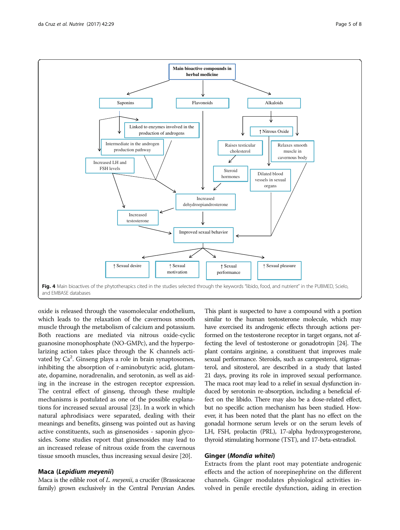<span id="page-4-0"></span>

oxide is released through the vasomolecular endothelium, which leads to the relaxation of the cavernous smooth muscle through the metabolism of calcium and potassium. Both reactions are mediated via nitrous oxide-cyclic guanosine monophosphate (NO-GMPc), and the hyperpolarizing action takes place through the K channels activated by Ca<sup>2</sup>. Ginseng plays a role in brain synaptosomes, inhibiting the absorption of r-aminobutyric acid, glutamate, dopamine, noradrenalin, and serotonin, as well as aiding in the increase in the estrogen receptor expression. The central effect of ginseng, through these multiple mechanisms is postulated as one of the possible explanations for increased sexual arousal [\[23\]](#page-7-0). In a work in which natural aphrodisiacs were separated, dealing with their meanings and benefits, ginseng was pointed out as having active constituents, such as ginsenosides - saponin glycosides. Some studies report that ginsenosides may lead to an increased release of nitrous oxide from the cavernous tissue smooth muscles, thus increasing sexual desire [[20\]](#page-7-0).

#### Maca (Lepidium meyenii)

Maca is the edible root of *L. meyenii*, a crucifer (Brassicaceae) family) grown exclusively in the Central Peruvian Andes.

This plant is suspected to have a compound with a portion similar to the human testosterone molecule, which may have exercised its androgenic effects through actions performed on the testosterone receptor in target organs, not affecting the level of testosterone or gonadotropin [\[24](#page-7-0)]. The plant contains arginine, a constituent that improves male sexual performance. Steroids, such as campesterol, stigmasterol, and sitosterol, are described in a study that lasted 21 days, proving its role in improved sexual performance. The maca root may lead to a relief in sexual dysfunction induced by serotonin re-absorption, including a beneficial effect on the libido. There may also be a dose-related effect, but no specific action mechanism has been studied. However, it has been noted that the plant has no effect on the gonadal hormone serum levels or on the serum levels of LH, FSH, prolactin (PRL), 17-alpha hydroxyprogesterone, thyroid stimulating hormone (TST), and 17-beta-estradiol.

#### Ginger (Mondia whitei)

Extracts from the plant root may potentiate androgenic effects and the action of norepinephrine on the different channels. Ginger modulates physiological activities involved in penile erectile dysfunction, aiding in erection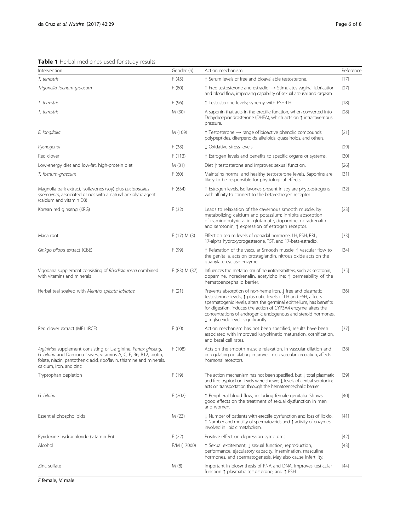#### <span id="page-5-0"></span>Table 1 Herbal medicines used for study results

| Intervention                                                                                                                                                                                                                        | Gender (n)    | Action mechanism                                                                                                                                                                                                                                                                                                                                                                                  | Reference |
|-------------------------------------------------------------------------------------------------------------------------------------------------------------------------------------------------------------------------------------|---------------|---------------------------------------------------------------------------------------------------------------------------------------------------------------------------------------------------------------------------------------------------------------------------------------------------------------------------------------------------------------------------------------------------|-----------|
| T. terrestris                                                                                                                                                                                                                       | F(45)         | ↑ Serum levels of free and bioavailable testosterone.                                                                                                                                                                                                                                                                                                                                             | $[17]$    |
| Trigonella foenum-graecum                                                                                                                                                                                                           | F(80)         | $\uparrow$ Free testosterone and estradiol $\rightarrow$ Stimulates vaginal lubrication<br>and blood flow, improving capability of sexual arousal and orgasm.                                                                                                                                                                                                                                     | $[27]$    |
| T. terrestris                                                                                                                                                                                                                       | F (96)        | ↑ Testosterone levels; synergy with FSH-LH.                                                                                                                                                                                                                                                                                                                                                       | $[18]$    |
| T. terrestris                                                                                                                                                                                                                       | M (30)        | A saponin that acts in the erectile function, when converted into<br>Dehydroepiandrosterone (DHEA), which acts on ↑ intracavernous<br>pressure.                                                                                                                                                                                                                                                   | $[28]$    |
| E. longifolia                                                                                                                                                                                                                       | M (109)       | $\uparrow$ Testosterone $\rightarrow$ range of bioactive phenolic compounds:<br>polypeptides, diterpenoids, alkaloids, quassinoids, and others.                                                                                                                                                                                                                                                   | $[21]$    |
| Pycnogenol                                                                                                                                                                                                                          | F(38)         | J. Oxidative stress levels.                                                                                                                                                                                                                                                                                                                                                                       | $[29]$    |
| Red clover                                                                                                                                                                                                                          | F(113)        | ↑ Estrogen levels and benefits to specific organs or systems.                                                                                                                                                                                                                                                                                                                                     | $[30]$    |
| Low-energy diet and low-fat, high-protein diet                                                                                                                                                                                      | M (31)        | Diet $\uparrow$ testosterone and improves sexual function.                                                                                                                                                                                                                                                                                                                                        | $[26]$    |
| T. foenum-graecum                                                                                                                                                                                                                   | F(60)         | Maintains normal and healthy testosterone levels. Saponins are<br>likely to be responsible for physiological effects.                                                                                                                                                                                                                                                                             | $[31]$    |
| Magnolia bark extract, Isoflavones (soy) plus Lactobacillus<br>sporogenes, associated or not with a natural anxiolytic agent<br>(calcium and vitamin D3)                                                                            | F(634)        | ↑ Estrogen levels. Isoflavones present in soy are phytoestrogens,<br>with affinity to connect to the beta-estrogen receptor.                                                                                                                                                                                                                                                                      | $[32]$    |
| Korean red ginseng (KRG)                                                                                                                                                                                                            | F(32)         | Leads to relaxation of the cavernous smooth muscle, by<br>metabolizing calcium and potassium; inhibits absorption<br>of r-aminobutyric acid, glutamate, dopamine, noradrenalin<br>and serotonin; $\uparrow$ expression of estrogen receptor.                                                                                                                                                      | $[23]$    |
| Maca root                                                                                                                                                                                                                           | F(17) M(3)    | Effect on serum levels of gonadal hormone, LH, FSH, PRL,<br>17-alpha hydroxyprogesterone, TST, and 17-beta-estradiol.                                                                                                                                                                                                                                                                             | $[33]$    |
| Ginkgo biloba extract (GBE)                                                                                                                                                                                                         | F (99)        | ↑ Relaxation of the vascular Smooth muscle, ↑ vascular flow to<br>the genitalia, acts on prostaglandin, nitrous oxide acts on the<br>quanylate cyclase enzyme.                                                                                                                                                                                                                                    | $[34]$    |
| Vigodana supplement consisting of Rhodiola rosea combined<br>with vitamins and minerals                                                                                                                                             | F (83) M (37) | Influences the metabolism of neurotransmitters, such as serotonin,<br>dopamine, noradrenalin, acetylcholine; $\uparrow$ permeability of the<br>hematoencephalic barrier.                                                                                                                                                                                                                          | $[35]$    |
| Herbal teal soaked with Mentha spicata labiatae                                                                                                                                                                                     | F(21)         | Prevents absorption of non-heme iron, $\downarrow$ free and plasmatic<br>testosterone levels, $\uparrow$ plasmatic levels of LH and FSH, affects<br>spermatogenic levels, alters the germinal epithelium, has benefits<br>for digestion, induces the action of CYP3A4 enzyme, alters the<br>concentrations of androgenic endogenous and steroid hormones,<br>I triglyceride levels significantly. | $[36]$    |
| Red clover extract (MF11RCE)                                                                                                                                                                                                        | F(60)         | Action mechanism has not been specified, results have been<br>associated with improved karyokinetic maturation, cornification,<br>and basal cell rates.                                                                                                                                                                                                                                           | [37]      |
| ArginMax supplement consisting of L-arginine, Panax ginseng,<br>G. biloba and Damiana leaves, vitamins A, C, E, B6, B12, biotin,<br>folate, niacin, pantothenic acid, riboflavin, thiamine and minerals,<br>calcium, iron, and zinc | F(108)        | Acts on the smooth muscle relaxation, in vascular dilation and<br>in regulating circulation, improves microvascular circulation, affects<br>hormonal receptors.                                                                                                                                                                                                                                   | $[38]$    |
| Tryptophan depletion                                                                                                                                                                                                                | F(19)         | The action mechanism has not been specified, but I total plasmatic<br>and free tryptophan levels were shown; $\downarrow$ levels of central serotonin;<br>acts on transportation through the hematoencephalic barrier.                                                                                                                                                                            | $[39]$    |
| G. biloba                                                                                                                                                                                                                           | F(202)        | ↑ Peripheral blood flow, including female genitalia. Shows<br>good effects on the treatment of sexual dysfunction in men<br>and women.                                                                                                                                                                                                                                                            | $[40]$    |
| Essential phospholipids                                                                                                                                                                                                             | M (23)        | ↓ Number of patients with erectile dysfunction and loss of libido.<br>$\uparrow$ Number and motility of spermatozoids and $\uparrow$ activity of enzymes<br>involved in lipidic metabolism.                                                                                                                                                                                                       | $[41]$    |
| Pyridoxine hydrochloride (vitamin B6)                                                                                                                                                                                               | F(22)         | Positive effect on depression symptoms.                                                                                                                                                                                                                                                                                                                                                           | $[42]$    |
| Alcohol                                                                                                                                                                                                                             | F/M (17000)   | ↑ Sexual excitement; L sexual function, reproduction,<br>performance, ejaculatory capacity, insemination, masculine<br>hormones, and spermatogenesis. May also cause infertility.                                                                                                                                                                                                                 | $[43]$    |
| Zinc sulfate                                                                                                                                                                                                                        | M(8)          | Important in biosynthesis of RNA and DNA. Improves testicular<br>function $\uparrow$ plasmatic testosterone, and $\uparrow$ FSH.                                                                                                                                                                                                                                                                  | $[44]$    |

F female, M male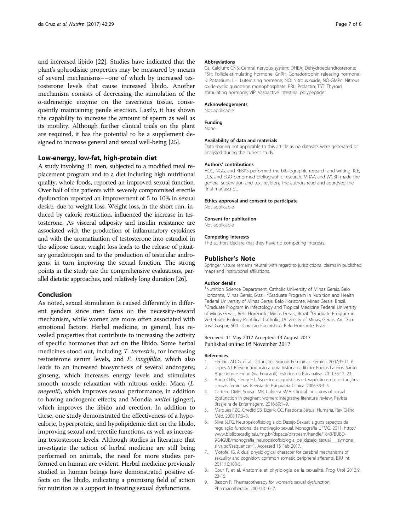<span id="page-6-0"></span>and increased libido [[22](#page-7-0)]. Studies have indicated that the plant's aphrodisiac properties may be measured by means of several mechanisms––one of which by increased testosterone levels that cause increased libido. Another mechanism consists of decreasing the stimulation of the α-adrenergic enzyme on the cavernous tissue, consequently maintaining penile erection. Lastly, it has shown the capability to increase the amount of sperm as well as its motility. Although further clinical trials on the plant are required, it has the potential to be a supplement designed to increase general and sexual well-being [\[25\]](#page-7-0).

#### Low-energy, low-fat, high-protein diet

A study involving 31 men, subjected to a modified meal replacement program and to a diet including high nutritional quality, whole foods, reported an improved sexual function. Over half of the patients with severely compromised erectile dysfunction reported an improvement of 5 to 10% in sexual desire, due to weight loss. Weight loss, in the short run, induced by caloric restriction, influenced the increase in testosterone. As visceral adiposity and insulin resistance are associated with the production of inflammatory cytokines and with the aromatization of testosterone into estradiol in the adipose tissue, weight loss leads to the release of pituitary gonadotropin and to the production of testicular androgens, in turn improving the sexual function. The strong points in the study are the comprehensive evaluations, parallel dietetic approaches, and relatively long duration [\[26](#page-7-0)].

#### Conclusion

As noted, sexual stimulation is caused differently in different genders since men focus on the necessity-reward mechanism, while women are more often associated with emotional factors. Herbal medicine, in general, has revealed properties that contribute to increasing the activity of specific hormones that act on the libido. Some herbal medicines stood out, including T. terrestris, for increasing testosterone serum levels, and E. longifólia, which also leads to an increased biosynthesis of several androgens; ginseng, which increases energy levels and stimulates smooth muscle relaxation with nitrous oxide; Maca (L. meyenii), which improves sexual performance, in addition to having androgenic effects; and Mondia whitei (ginger), which improves the libido and erection. In addition to these, one study demonstrated the effectiveness of a hypocaloric, hyperproteic, and hypolipidemic diet on the libido, improving sexual and erectile functions, as well as increasing testosterone levels. Although studies in literature that investigate the action of herbal medicine are still being performed on animals, the need for more studies performed on human are evident. Herbal medicine previously studied in human beings have demonstrated positive effects on the libido, indicating a promising field of action for nutrition as a support in treating sexual dysfunctions.

#### Abbreviations

Ca: Calcium; CNS: Central nervous system; DHEA: Dehydroepiandrosterone; FSH: Follicle-stimulating hormone; GnRH: Gonadotrophin releasing hormone; K: Potassium; LH: Luteinizing hormone; NO: Nitrous oxide; NO-GMPc: Nitrous oxide-cyclic guanosine monophosphate; PRL: Prolactin; TST: Thyroid stimulating hormone; VIP: Vasoactive intestinal polypeptide

#### Acknowledgements

Not applicable

Funding

None.

#### Availability of data and materials

Data sharing not applicable to this article as no datasets were generated or analyzed during the current study.

#### Authors' contributions

ACC, NGG, and KEBPS performed the bibliographic research and writing. ICE, LCS, and EGO performed bibliographic research. MRAA and WCBR made the general supervision and text revision. The authors read and approved the final manuscript.

#### Ethics approval and consent to participate

Not applicable

#### Consent for publication

Not applicable

#### Competing interests

The authors declare that they have no competing interests.

#### Publisher's Note

Springer Nature remains neutral with regard to jurisdictional claims in published maps and institutional affiliations.

#### Author details

<sup>1</sup>Nutrition Science Department, Catholic University of Minas Gerais, Belc Horizonte, Minas Gerais, Brazil. <sup>2</sup>Graduate Program in Nutrition and Health Federal University of Minas Gerais, Belo Horizonte, Minas Gerais, Brazil. <sup>3</sup>Graduate Program in Infectology and Tropical Medicine Federal University of Minas Gerais, Belo Horizonte, Minas Gerais, Brazil. <sup>4</sup>Graduate Program in Vertebrate Biology Pontifical Catholic, University of Minas, Gerais. Av. Dom José Gaspar, 500 - Coração Eucarístico, Belo Horizonte, Brazil.

#### Received: 11 May 2017 Accepted: 13 August 2017 Published online: 05 November 2017

#### References

- 1. Ferreira ALCG, et al. Disfunções Sexuais Femininas. Femina. 2007;35:11–6.
- 2. Lopes AJ. Breve introdução a uma história da libido: Poetas Latinos, Santo Agostinho e Freud (via Foucault). Estudos da Psicanálise. 2011;35:17–23.
- 3. Abdo CHN, Fleury HJ. Aspectos diagnósticos e terapêuticos das disfunções sexuais femininas. Revista de Psiquiatria Clinica. 2006;33:3–5.
- 4. Carteiro DMH, Sousa LMR, Caldeira SMA. Clinical indicators of sexual dysfunction in pregnant women: integrative literature review. Revista Brasileira de Enfermagem. 2016;69:1–9.
- 5. Marques FZC, Chedid SB, Eizerik GC. Resposta Sexual Humana. Rev Ciênc Méd. 2008;17:3–8.
- 6. Silva SLFG. Neuropsicofisiologia do Desejo Sexual: alguns aspectos da regulação funcional da motivação sexual. Monografia UFMG. 2011. [http://](http://www.bibliotecadigital.ufmg.br/dspace/bitstream/handle/1843/BUBD-9G4GUB/monografia_neuropsicofisiologia_de_desejo_sexual___symone_silva.pdf?sequence=1) [www.bibliotecadigital.ufmg.br/dspace/bitstream/handle/1843/BUBD-](http://www.bibliotecadigital.ufmg.br/dspace/bitstream/handle/1843/BUBD-9G4GUB/monografia_neuropsicofisiologia_de_desejo_sexual___symone_silva.pdf?sequence=1)[9G4GUB/monografia\\_neuropsicofisiologia\\_de\\_desejo\\_sexual\\_\\_\\_symone\\_](http://www.bibliotecadigital.ufmg.br/dspace/bitstream/handle/1843/BUBD-9G4GUB/monografia_neuropsicofisiologia_de_desejo_sexual___symone_silva.pdf?sequence=1) [silva.pdf?sequence=1](http://www.bibliotecadigital.ufmg.br/dspace/bitstream/handle/1843/BUBD-9G4GUB/monografia_neuropsicofisiologia_de_desejo_sexual___symone_silva.pdf?sequence=1). Accessed 15 Feb 2017.
- 7. Motofei IG. A dual physiological character for cerebral mechanisms of sexuality and cognition: common somatic peripheral afferents. BJU Int. 2011;10;108-5.
- 8. Cour F, et al. Anatomie et physiologie de la sexualité. Prog Urol 2013;9; 23-15.
- 9. Basson R. Pharmacotherapy for women's sexual dysfunction. Pharmacotherapy. 2009;10:10–7.